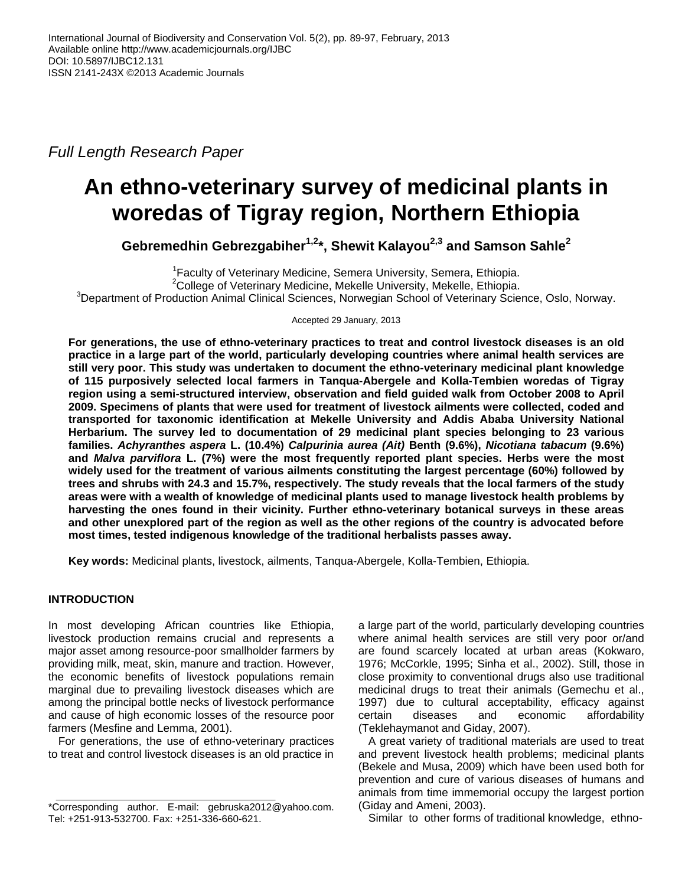*Full Length Research Paper*

# **An ethno-veterinary survey of medicinal plants in woredas of Tigray region, Northern Ethiopia**

**Gebremedhin Gebrezgabiher1,2 \*, Shewit Kalayou2,3 and Samson Sahle<sup>2</sup>**

<sup>1</sup> Faculty of Veterinary Medicine, Semera University, Semera, Ethiopia. <sup>2</sup>College of Veterinary Medicine, Mekelle University, Mekelle, Ethiopia. <sup>3</sup>Department of Production Animal Clinical Sciences, Norwegian School of Veterinary Science, Oslo, Norway.

Accepted 29 January, 2013

**For generations, the use of ethno-veterinary practices to treat and control livestock diseases is an old practice in a large part of the world, particularly developing countries where animal health services are still very poor. This study was undertaken to document the ethno-veterinary medicinal plant knowledge of 115 purposively selected local farmers in Tanqua-Abergele and Kolla-Tembien woredas of Tigray region using a semi-structured interview, observation and field guided walk from October 2008 to April 2009. Specimens of plants that were used for treatment of livestock ailments were collected, coded and transported for taxonomic identification at Mekelle University and Addis Ababa University National Herbarium. The survey led to documentation of 29 medicinal plant species belonging to 23 various families.** *Achyranthes aspera* **L. (10.4%)** *Calpurinia aurea (Ait)* **Benth (9.6%),** *Nicotiana tabacum* **(9.6%) and** *Malva parviflora* **L. (7%) were the most frequently reported plant species. Herbs were the most widely used for the treatment of various ailments constituting the largest percentage (60%) followed by trees and shrubs with 24.3 and 15.7%, respectively. The study reveals that the local farmers of the study areas were with a wealth of knowledge of medicinal plants used to manage livestock health problems by harvesting the ones found in their vicinity. Further ethno-veterinary botanical surveys in these areas and other unexplored part of the region as well as the other regions of the country is advocated before most times, tested indigenous knowledge of the traditional herbalists passes away.**

**Key words:** Medicinal plants, livestock, ailments, Tanqua-Abergele, Kolla-Tembien, Ethiopia.

# **INTRODUCTION**

In most developing African countries like Ethiopia, livestock production remains crucial and represents a major asset among resource-poor smallholder farmers by providing milk, meat, skin, manure and traction. However, the economic benefits of livestock populations remain marginal due to prevailing livestock diseases which are among the principal bottle necks of livestock performance and cause of high economic losses of the resource poor farmers (Mesfine and Lemma, 2001).

For generations, the use of ethno-veterinary practices to treat and control livestock diseases is an old practice in a large part of the world, particularly developing countries where animal health services are still very poor or/and are found scarcely located at urban areas (Kokwaro, 1976; McCorkle, 1995; Sinha et al., 2002). Still, those in close proximity to conventional drugs also use traditional medicinal drugs to treat their animals (Gemechu et al., 1997) due to cultural acceptability, efficacy against certain diseases and economic affordability (Teklehaymanot and Giday, 2007).

A great variety of traditional materials are used to treat and prevent livestock health problems; medicinal plants (Bekele and Musa, 2009) which have been used both for prevention and cure of various diseases of humans and animals from time immemorial occupy the largest portion (Giday and Ameni, 2003).

Similar to other forms of traditional knowledge, ethno-

<sup>\*</sup>Corresponding author. E-mail: gebruska2012@yahoo.com. Tel: +251-913-532700. Fax: +251-336-660-621.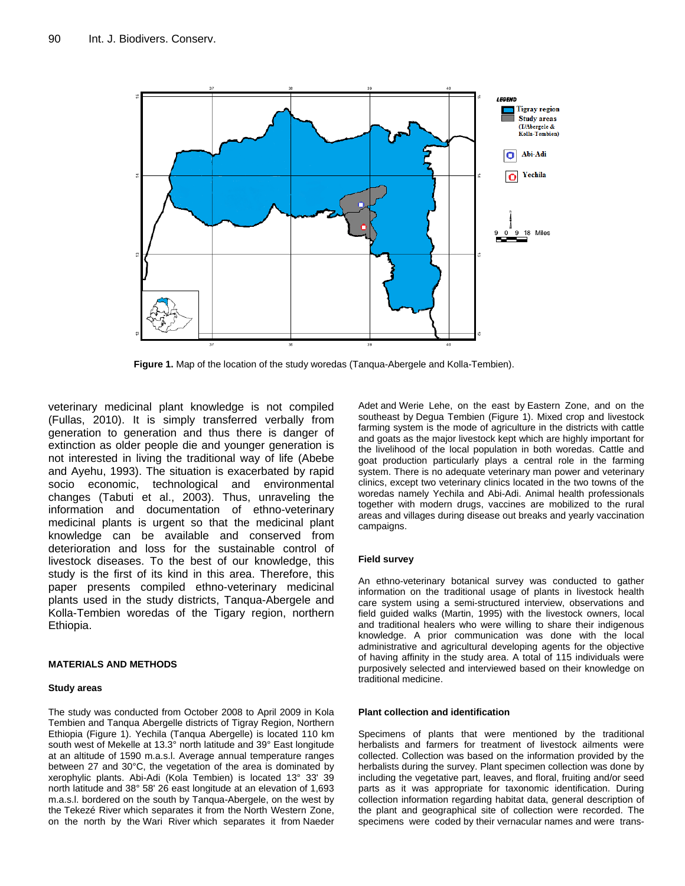

**Figure 1.** Map of the location of the study woredas (Tanqua-Abergele and Kolla-Tembien).

veterinary medicinal plant knowledge is not compiled (Fullas, 2010). It is simply transferred verbally from generation to generation and thus there is danger of extinction as older people die and younger generation is not interested in living the traditional way of life (Abebe and Ayehu, 1993). The situation is exacerbated by rapid socio economic, technological and environmental changes (Tabuti et al., 2003). Thus, unraveling the information and documentation of ethno-veterinary medicinal plants is urgent so that the medicinal plant knowledge can be available and conserved from deterioration and loss for the sustainable control of livestock diseases. To the best of our knowledge, this study is the first of its kind in this area. Therefore, this paper presents compiled ethno-veterinary medicinal plants used in the study districts, Tanqua-Abergele and Kolla-Tembien woredas of the Tigary region, northern Ethiopia.

## **MATERIALS AND METHODS**

#### **Study areas**

The study was conducted from October 2008 to April 2009 in Kola Tembien and Tanqua Abergelle districts of Tigray Region, Northern Ethiopia (Figure 1). Yechila (Tanqua Abergelle) is located 110 km south west of Mekelle at 13.3° north latitude and 39° East longitude at an altitude of 1590 m.a.s.l. Average annual temperature ranges between 27 and 30°C, the vegetation of the area is dominated by xerophylic plants. Abi-Adi (Kola Tembien) is located 13° 33' 39 north latitude and 38° 58' 26 east longitude at an elevation of 1,693 m.a.s.l. bordered on the south by Tanqua-Abergele, on the west by the [Tekezé River](http://en.wikipedia.org/wiki/Tekez%C3%A9_River) which separates it from the [North Western Zone,](http://en.wikipedia.org/wiki/Semien_Mi%27irabawi_Zone)  on the north by the [Wari River](http://en.wikipedia.org/wiki/Wari_River) which separates it from [Naeder](http://en.wikipedia.org/wiki/Naeder_Adet) 

[Adet](http://en.wikipedia.org/wiki/Naeder_Adet) and [Werie Lehe,](http://en.wikipedia.org/wiki/Werie_Lehe) on the east by [Eastern Zone,](http://en.wikipedia.org/wiki/Misraqawi_Zone) and on the southeast by [Degua Tembien](http://en.wikipedia.org/wiki/Degua_Tembien) (Figure 1). Mixed crop and livestock farming system is the mode of agriculture in the districts with cattle and goats as the major livestock kept which are highly important for the livelihood of the local population in both woredas. Cattle and goat production particularly plays a central role in the farming system. There is no adequate veterinary man power and veterinary clinics, except two veterinary clinics located in the two towns of the woredas namely Yechila and Abi-Adi. Animal health professionals together with modern drugs, vaccines are mobilized to the rural areas and villages during disease out breaks and yearly vaccination campaigns.

## **Field survey**

An ethno-veterinary botanical survey was conducted to gather information on the traditional usage of plants in livestock health care system using a semi-structured interview, observations and field guided walks (Martin, 1995) with the livestock owners, local and traditional healers who were willing to share their indigenous knowledge. A prior communication was done with the local administrative and agricultural developing agents for the objective of having affinity in the study area. A total of 115 individuals were purposively selected and interviewed based on their knowledge on traditional medicine.

#### **Plant collection and identification**

Specimens of plants that were mentioned by the traditional herbalists and farmers for treatment of livestock ailments were collected. Collection was based on the information provided by the herbalists during the survey. Plant specimen collection was done by including the vegetative part, leaves, and floral, fruiting and/or seed parts as it was appropriate for taxonomic identification. During collection information regarding habitat data, general description of the plant and geographical site of collection were recorded. The specimens were coded by their vernacular names and were trans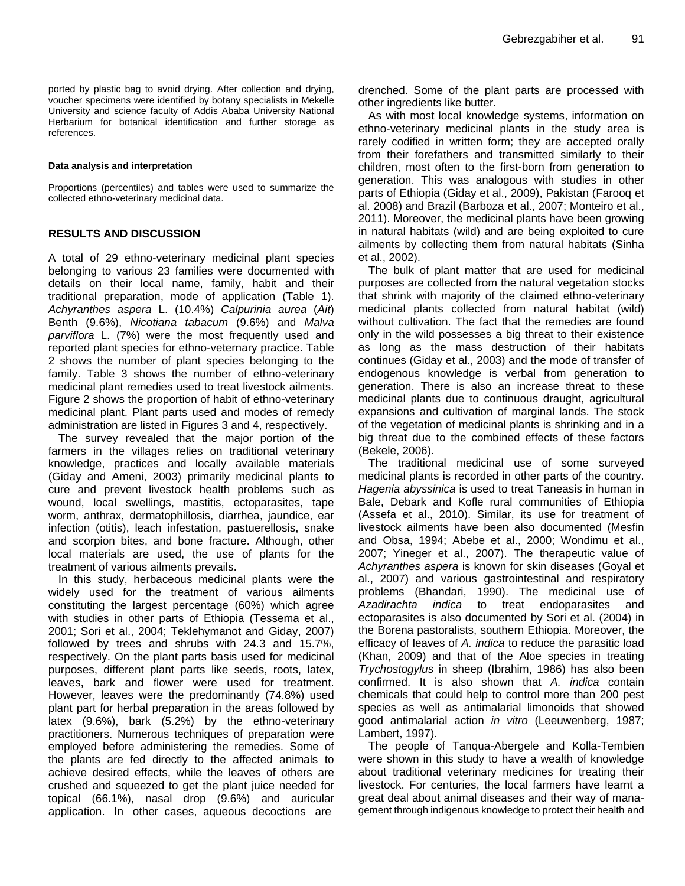ported by plastic bag to avoid drying. After collection and drying, voucher specimens were identified by botany specialists in Mekelle University and science faculty of Addis Ababa University National Herbarium for botanical identification and further storage as references.

#### **Data analysis and interpretation**

Proportions (percentiles) and tables were used to summarize the collected ethno-veterinary medicinal data.

## **RESULTS AND DISCUSSION**

A total of 29 ethno-veterinary medicinal plant species belonging to various 23 families were documented with details on their local name, family, habit and their traditional preparation, mode of application (Table 1). *Achyranthes aspera* L. (10.4%) *Calpurinia aurea* (*Ait*) Benth (9.6%), *Nicotiana tabacum* (9.6%) and *Malva parviflora* L. (7%) were the most frequently used and reported plant species for ethno-veternary practice. Table 2 shows the number of plant species belonging to the family. Table 3 shows the number of ethno-veterinary medicinal plant remedies used to treat livestock ailments. Figure 2 shows the proportion of habit of ethno-veterinary medicinal plant. Plant parts used and modes of remedy administration are listed in Figures 3 and 4, respectively.

The survey revealed that the major portion of the farmers in the villages relies on traditional veterinary knowledge, practices and locally available materials (Giday and Ameni, 2003) primarily medicinal plants to cure and prevent livestock health problems such as wound, local swellings, mastitis, ectoparasites, tape worm, anthrax, dermatophillosis, diarrhea, jaundice, ear infection (otitis), leach infestation, pastuerellosis, snake and scorpion bites, and bone fracture. Although, other local materials are used, the use of plants for the treatment of various ailments prevails.

In this study, herbaceous medicinal plants were the widely used for the treatment of various ailments constituting the largest percentage (60%) which agree with studies in other parts of Ethiopia (Tessema et al., 2001; Sori et al., 2004; Teklehymanot and Giday, 2007) followed by trees and shrubs with 24.3 and 15.7%, respectively. On the plant parts basis used for medicinal purposes, different plant parts like seeds, roots, latex, leaves, bark and flower were used for treatment. However, leaves were the predominantly (74.8%) used plant part for herbal preparation in the areas followed by latex (9.6%), bark (5.2%) by the ethno-veterinary practitioners. Numerous techniques of preparation were employed before administering the remedies. Some of the plants are fed directly to the affected animals to achieve desired effects, while the leaves of others are crushed and squeezed to get the plant juice needed for topical (66.1%), nasal drop (9.6%) and auricular application. In other cases, aqueous decoctions are

drenched. Some of the plant parts are processed with other ingredients like butter.

As with most local knowledge systems, information on ethno-veterinary medicinal plants in the study area is rarely codified in written form; they are accepted orally from their forefathers and transmitted similarly to their children, most often to the first-born from generation to generation. This was analogous with studies in other parts of Ethiopia (Giday et al., 2009), Pakistan (Farooq et al. 2008) and Brazil (Barboza et al., 2007; Monteiro et al., 2011). Moreover, the medicinal plants have been growing in natural habitats (wild) and are being exploited to cure ailments by collecting them from natural habitats (Sinha et al., 2002).

The bulk of plant matter that are used for medicinal purposes are collected from the natural vegetation stocks that shrink with majority of the claimed ethno-veterinary medicinal plants collected from natural habitat (wild) without cultivation. The fact that the remedies are found only in the wild possesses a big threat to their existence as long as the mass destruction of their habitats continues (Giday et al., 2003) and the mode of transfer of endogenous knowledge is verbal from generation to generation. There is also an increase threat to these medicinal plants due to continuous draught, agricultural expansions and cultivation of marginal lands. The stock of the vegetation of medicinal plants is shrinking and in a big threat due to the combined effects of these factors (Bekele, 2006).

The traditional medicinal use of some surveyed medicinal plants is recorded in other parts of the country. *Hagenia abyssinica* is used to treat Taneasis in human in Bale, Debark and Kofle rural communities of Ethiopia (Assefa et al., 2010). Similar, its use for treatment of livestock ailments have been also documented (Mesfin and Obsa, 1994; Abebe et al., 2000; Wondimu et al., 2007; Yineger et al., 2007). The therapeutic value of *Achyranthes aspera* is known for skin diseases (Goyal et al., 2007) and various gastrointestinal and respiratory problems (Bhandari, 1990). The medicinal use of *Azadirachta indica* to treat endoparasites and ectoparasites is also documented by Sori et al. (2004) in the Borena pastoralists, southern Ethiopia. Moreover, the efficacy of leaves of *A. indica* to reduce the parasitic load (Khan, 2009) and that of the Aloe species in treating *Trychostogylus* in sheep (Ibrahim, 1986) has also been confirmed. It is also shown that *A. indica* contain chemicals that could help to control more than 200 pest species as well as antimalarial limonoids that showed good antimalarial action *in vitro* (Leeuwenberg, 1987; Lambert, 1997).

The people of Tanqua-Abergele and Kolla-Tembien were shown in this study to have a wealth of knowledge about traditional veterinary medicines for treating their livestock. For centuries, the local farmers have learnt a great deal about animal diseases and their way of management through indigenous knowledge to protect their health and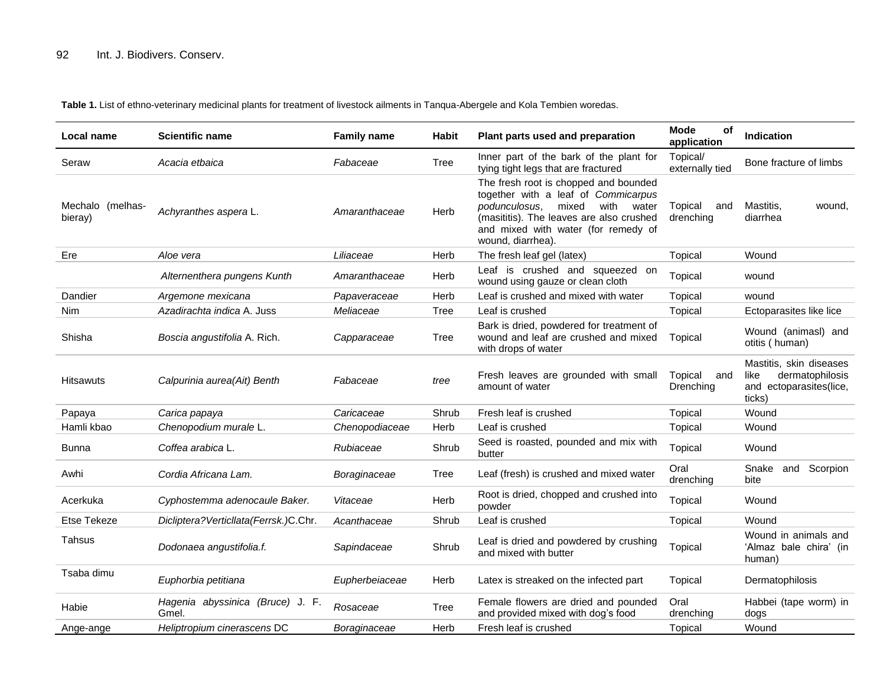**Table 1.** List of ethno-veterinary medicinal plants for treatment of livestock ailments in Tanqua-Abergele and Kola Tembien woredas.

| Local name                  | <b>Scientific name</b>                    | <b>Family name</b> | <b>Habit</b> | Plant parts used and preparation                                                                                                                                                                                                | <b>Mode</b><br>οf<br>application | <b>Indication</b>                                                                       |
|-----------------------------|-------------------------------------------|--------------------|--------------|---------------------------------------------------------------------------------------------------------------------------------------------------------------------------------------------------------------------------------|----------------------------------|-----------------------------------------------------------------------------------------|
| Seraw                       | Acacia etbaica                            | Fabaceae           | Tree         | Inner part of the bark of the plant for<br>tying tight legs that are fractured                                                                                                                                                  | Topical/<br>externally tied      | Bone fracture of limbs                                                                  |
| Mechalo (melhas-<br>bieray) | Achyranthes aspera L.                     | Amaranthaceae      | Herb         | The fresh root is chopped and bounded<br>together with a leaf of Commicarpus<br>podunculosus.<br>mixed<br>with<br>water<br>(masititis). The leaves are also crushed<br>and mixed with water (for remedy of<br>wound, diarrhea). | Topical<br>and<br>drenching      | Mastitis,<br>wound.<br>diarrhea                                                         |
| Ere                         | Aloe vera                                 | Liliaceae          | Herb         | The fresh leaf gel (latex)                                                                                                                                                                                                      | Topical                          | Wound                                                                                   |
|                             | Alternenthera pungens Kunth               | Amaranthaceae      | Herb         | Leaf is crushed and squeezed on<br>wound using gauze or clean cloth                                                                                                                                                             | Topical                          | wound                                                                                   |
| Dandier                     | Argemone mexicana                         | Papaveraceae       | Herb         | Leaf is crushed and mixed with water                                                                                                                                                                                            | Topical                          | wound                                                                                   |
| Nim                         | Azadirachta indica A. Juss                | Meliaceae          | Tree         | Leaf is crushed                                                                                                                                                                                                                 | Topical                          | Ectoparasites like lice                                                                 |
| Shisha                      | Boscia angustifolia A. Rich.              | Capparaceae        | Tree         | Bark is dried, powdered for treatment of<br>wound and leaf are crushed and mixed<br>with drops of water                                                                                                                         | Topical                          | Wound (animasl) and<br>otitis (human)                                                   |
| <b>Hitsawuts</b>            | Calpurinia aurea(Ait) Benth               | Fabaceae           | tree         | Fresh leaves are grounded with small<br>amount of water                                                                                                                                                                         | Topical<br>and<br>Drenching      | Mastitis, skin diseases<br>like<br>dermatophilosis<br>and ectoparasites(lice,<br>ticks) |
| Papaya                      | Carica papaya                             | Caricaceae         | Shrub        | Fresh leaf is crushed                                                                                                                                                                                                           | Topical                          | Wound                                                                                   |
| Hamli kbao                  | Chenopodium murale L.                     | Chenopodiaceae     | Herb         | Leaf is crushed                                                                                                                                                                                                                 | Topical                          | Wound                                                                                   |
| <b>Bunna</b>                | Coffea arabica L.                         | Rubiaceae          | Shrub        | Seed is roasted, pounded and mix with<br>butter                                                                                                                                                                                 | Topical                          | Wound                                                                                   |
| Awhi                        | Cordia Africana Lam.                      | Boraginaceae       | <b>Tree</b>  | Leaf (fresh) is crushed and mixed water                                                                                                                                                                                         | Oral<br>drenching                | and Scorpion<br>Snake<br>bite                                                           |
| Acerkuka                    | Cyphostemma adenocaule Baker.             | Vitaceae           | Herb         | Root is dried, chopped and crushed into<br>powder                                                                                                                                                                               | Topical                          | Wound                                                                                   |
| <b>Etse Tekeze</b>          | Dicliptera?Verticllata(Ferrsk.)C.Chr.     | Acanthaceae        | Shrub        | Leaf is crushed                                                                                                                                                                                                                 | Topical                          | Wound                                                                                   |
| Tahsus                      | Dodonaea angustifolia.f.                  | Sapindaceae        | Shrub        | Leaf is dried and powdered by crushing<br>and mixed with butter                                                                                                                                                                 | Topical                          | Wound in animals and<br>'Almaz bale chira' (in<br>human)                                |
| Tsaba dimu                  | Euphorbia petitiana                       | Eupherbeiaceae     | Herb         | Latex is streaked on the infected part                                                                                                                                                                                          | Topical                          | Dermatophilosis                                                                         |
| Habie                       | Hagenia abyssinica (Bruce) J. F.<br>Gmel. | Rosaceae           | <b>Tree</b>  | Female flowers are dried and pounded<br>and provided mixed with dog's food                                                                                                                                                      | Oral<br>drenching                | Habbei (tape worm) in<br>dogs                                                           |
| Ange-ange                   | Heliptropium cinerascens DC               | Boraginaceae       | Herb         | Fresh leaf is crushed                                                                                                                                                                                                           | Topical                          | Wound                                                                                   |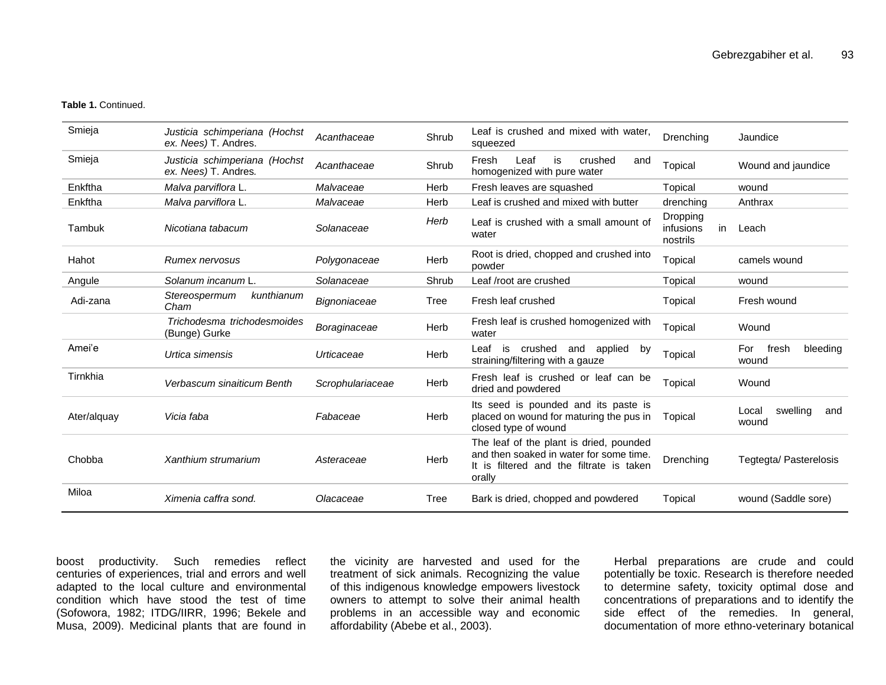#### **Table 1.** Continued.

| Smieja      | Justicia schimperiana (Hochst<br>ex. Nees) T. Andres. | Acanthaceae      | Shrub | Leaf is crushed and mixed with water,<br>squeezed                                                                                        | Drenching                               | Jaundice                          |
|-------------|-------------------------------------------------------|------------------|-------|------------------------------------------------------------------------------------------------------------------------------------------|-----------------------------------------|-----------------------------------|
| Smieja      | Justicia schimperiana (Hochst<br>ex. Nees) T. Andres. | Acanthaceae      | Shrub | Fresh<br>Leaf<br>is<br>crushed<br>and<br>homogenized with pure water                                                                     | Topical                                 | Wound and jaundice                |
| Enkftha     | Malva parviflora L.                                   | Malvaceae        | Herb  | Fresh leaves are squashed                                                                                                                | Topical                                 | wound                             |
| Enkftha     | Malva parviflora L.                                   | Malvaceae        | Herb  | Leaf is crushed and mixed with butter                                                                                                    | drenching                               | Anthrax                           |
| Tambuk      | Nicotiana tabacum                                     | Solanaceae       | Herb  | Leaf is crushed with a small amount of<br>water                                                                                          | Dropping<br>infusions<br>in<br>nostrils | Leach                             |
| Hahot       | <b>Rumex nervosus</b>                                 | Polygonaceae     | Herb  | Root is dried, chopped and crushed into<br>powder                                                                                        | Topical                                 | camels wound                      |
| Angule      | Solanum incanum L.                                    | Solanaceae       | Shrub | Leaf /root are crushed                                                                                                                   | Topical                                 | wound                             |
| Adi-zana    | kunthianum<br>Stereospermum<br>Cham                   | Bignoniaceae     | Tree  | Fresh leaf crushed                                                                                                                       | Topical                                 | Fresh wound                       |
|             | Trichodesma trichodesmoides<br>(Bunge) Gurke          | Boraginaceae     | Herb  | Fresh leaf is crushed homogenized with<br>water                                                                                          | Topical                                 | Wound                             |
| Amei'e      | Urtica simensis                                       | Urticaceae       | Herb  | crushed and applied<br>Leaf is<br>by<br>straining/filtering with a gauze                                                                 | Topical                                 | fresh<br>bleeding<br>For<br>wound |
| Tirnkhia    | Verbascum sinaiticum Benth                            | Scrophulariaceae | Herb  | Fresh leaf is crushed or leaf can be<br>dried and powdered                                                                               | Topical                                 | Wound                             |
| Ater/alguay | Vicia faba                                            | Fabaceae         | Herb  | Its seed is pounded and its paste is<br>placed on wound for maturing the pus in<br>closed type of wound                                  | Topical                                 | swelling<br>Local<br>and<br>wound |
| Chobba      | Xanthium strumarium                                   | Asteraceae       | Herb  | The leaf of the plant is dried, pounded<br>and then soaked in water for some time.<br>It is filtered and the filtrate is taken<br>orally | Drenching                               | Tegtegta/ Pasterelosis            |
| Miloa       | Ximenia caffra sond.                                  | Olacaceae        | Tree  | Bark is dried, chopped and powdered                                                                                                      | Topical                                 | wound (Saddle sore)               |

boost productivity. Such remedies reflect centuries of experiences, trial and errors and well adapted to the local culture and environmental condition which have stood the test of time (Sofowora, 1982; ITDG/IIRR, 1996; Bekele and Musa, 2009). Medicinal plants that are found in

the vicinity are harvested and used for the treatment of sick animals. Recognizing the value of this indigenous knowledge empowers livestock owners to attempt to solve their animal health problems in an accessible way and economic affordability (Abebe et al., 2003).

Herbal preparations are crude and could potentially be toxic. Research is therefore needed to determine safety, toxicity optimal dose and concentrations of preparations and to identify the side effect of the remedies. In general, documentation of more ethno-veterinary botanical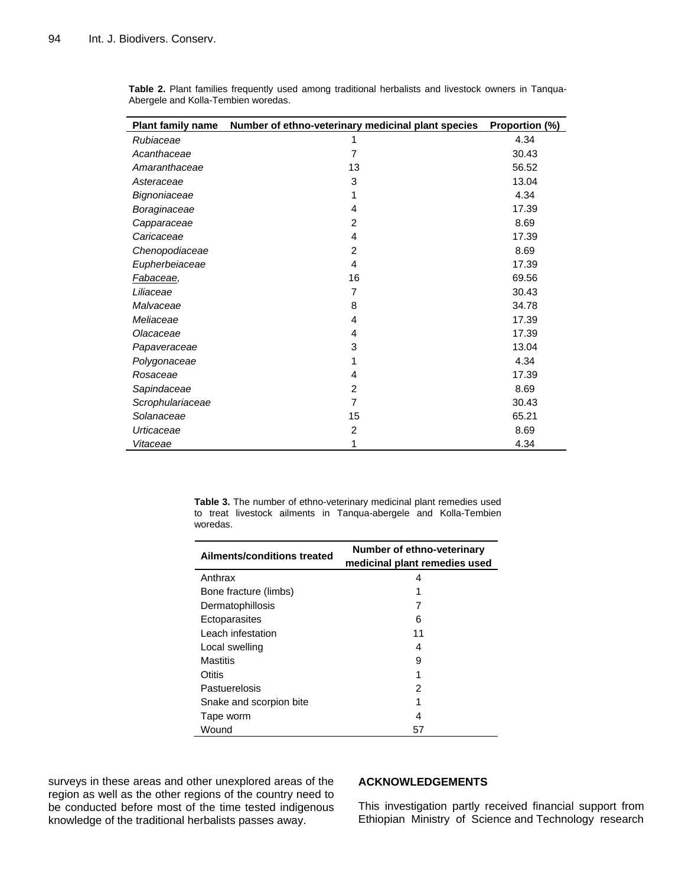| <b>Plant family name</b> | Number of ethno-veterinary medicinal plant species | Proportion (%) |
|--------------------------|----------------------------------------------------|----------------|
| Rubiaceae                | 1                                                  | 4.34           |
| Acanthaceae              | $\overline{7}$                                     | 30.43          |
| Amaranthaceae            | 13                                                 | 56.52          |
| Asteraceae               | 3                                                  | 13.04          |
| Bignoniaceae             | 1                                                  | 4.34           |
| Boraginaceae             | 4                                                  | 17.39          |
| Capparaceae              | $\overline{2}$                                     | 8.69           |
| Caricaceae               | 4                                                  | 17.39          |
| Chenopodiaceae           | $\overline{2}$                                     | 8.69           |
| Eupherbeiaceae           | 4                                                  | 17.39          |
| Fabaceae,                | 16                                                 | 69.56          |
| Liliaceae                | $\overline{7}$                                     | 30.43          |
| Malvaceae                | 8                                                  | 34.78          |
| Meliaceae                | 4                                                  | 17.39          |
| Olacaceae                | 4                                                  | 17.39          |
| Papaveraceae             | 3                                                  | 13.04          |
| Polygonaceae             | 1                                                  | 4.34           |
| Rosaceae                 | 4                                                  | 17.39          |
| Sapindaceae              | 2                                                  | 8.69           |
| Scrophulariaceae         | $\overline{7}$                                     | 30.43          |
| Solanaceae               | 15                                                 | 65.21          |
| Urticaceae               | $\overline{c}$                                     | 8.69           |
| Vitaceae                 | 1                                                  | 4.34           |

**Table 2.** Plant families frequently used among traditional herbalists and livestock owners in Tanqua-Abergele and Kolla-Tembien woredas.

> **Table 3.** The number of ethno-veterinary medicinal plant remedies used to treat livestock ailments in Tanqua-abergele and Kolla-Tembien woredas.

|                             | Number of ethno-veterinary    |  |  |
|-----------------------------|-------------------------------|--|--|
| Ailments/conditions treated | medicinal plant remedies used |  |  |
| Anthrax                     | 4                             |  |  |
| Bone fracture (limbs)       | 1                             |  |  |
| Dermatophillosis            |                               |  |  |
| Ectoparasites               | 6                             |  |  |
| Leach infestation           | 11                            |  |  |
| Local swelling              | 4                             |  |  |
| Mastitis                    | 9                             |  |  |
| Otitis                      |                               |  |  |
| Pastuerelosis               | 2                             |  |  |
| Snake and scorpion bite     |                               |  |  |
| Tape worm                   | 4                             |  |  |
| Wound                       | 57                            |  |  |

surveys in these areas and other unexplored areas of the region as well as the other regions of the country need to be conducted before most of the time tested indigenous knowledge of the traditional herbalists passes away.

## **ACKNOWLEDGEMENTS**

This investigation partly received financial support from Ethiopian Ministry of Science and Technology research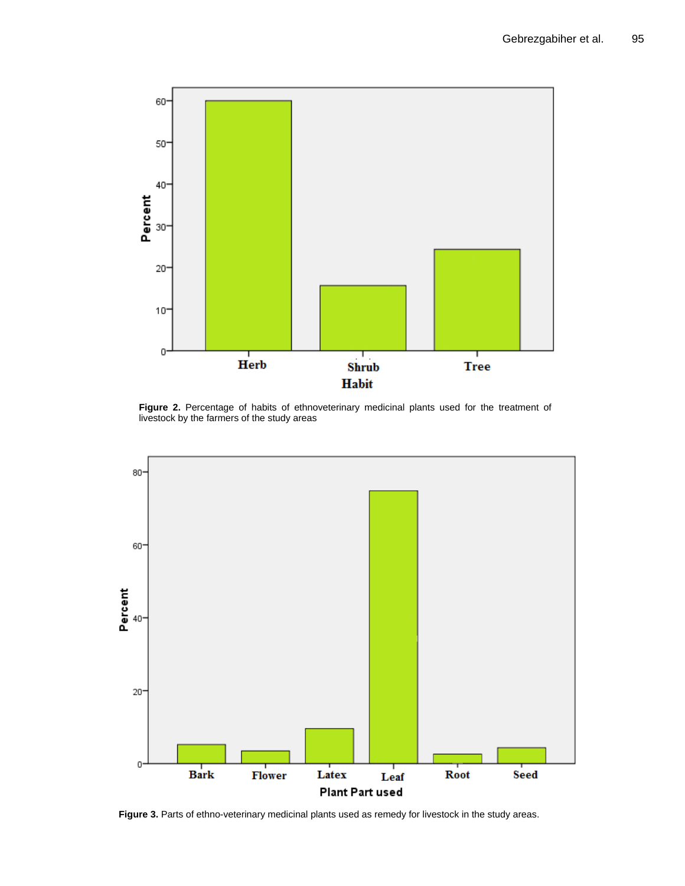

Figure 2. Percentage of habits of ethnoveterinary medicinal plants used for the treatment of livestock by the farmers of the study areas



**Figure 3.** Parts of ethno-veterinary medicinal plants used as remedy for livestock in the study areas.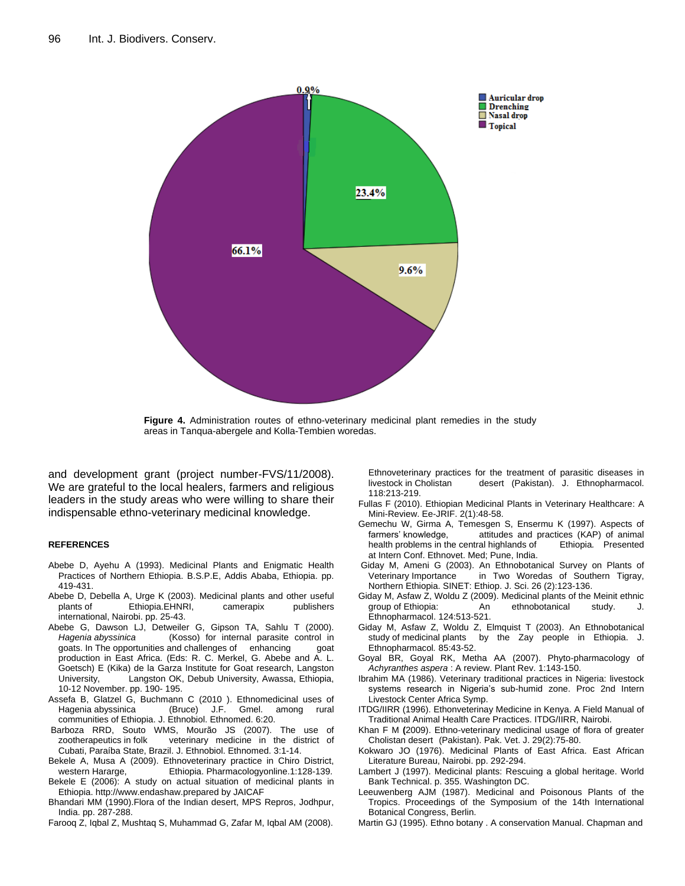

**Figure 4.** Administration routes of ethno-veterinary medicinal plant remedies in the study areas in Tanqua-abergele and Kolla-Tembien woredas.

and development grant (project number-FVS/11/2008). We are grateful to the local healers, farmers and religious leaders in the study areas who were willing to share their indispensable ethno-veterinary medicinal knowledge.

#### **REFERENCES**

- Abebe D, Ayehu A (1993). Medicinal Plants and Enigmatic Health Practices of Northern Ethiopia. B.S.P.E, Addis Ababa, Ethiopia. pp. 419-431.
- Abebe D, Debella A, Urge K (2003). Medicinal plants and other useful plants of Ethiopia.EHNRI, camerapix publishers international, Nairobi. pp. 25-43.
- Abebe G, Dawson LJ, Detweiler G, Gipson TA, Sahlu T (2000). *Hagenia abyssinica* (Kosso) for internal parasite control in goats. In The opportunities and challenges of enhancing goat production in East Africa. (Eds: R. C. Merkel, G. Abebe and A. L. Goetsch) E (Kika) de la Garza Institute for Goat research, Langston University, Langston OK, Debub University, Awassa, Ethiopia, 10-12 November. pp. 190- 195.
- Assefa B, Glatzel G, Buchmann C (2010 ). Ethnomedicinal uses of Hagenia abyssinica (Bruce) J.F. Gmel. among rural communities of Ethiopia. J. Ethnobiol. Ethnomed. 6:20.
- Barboza RRD, Souto WMS, Mourão JS (2007). The use of zootherapeutics in folk veterinary medicine in the district of Cubati, Paraíba State, Brazil. J. Ethnobiol. Ethnomed. 3:1-14.
- Bekele A, Musa A (2009). Ethnoveterinary practice in Chiro District, western Hararge, Ethiopia. Pharmacologyonline.1:128-139. Bekele E (2006): A study on actual situation of medicinal plants in
- Ethiopia. http://www.endashaw.prepared by JAICAF
- Bhandari MM (1990).Flora of the Indian desert, MPS Repros, Jodhpur, India. pp. 287-288.
- Farooq Z, Iqbal Z, Mushtaq S, Muhammad G, Zafar M, Iqbal AM (2008).

Ethnoveterinary practices for the treatment of parasitic diseases in livestock in Cholistan desert (Pakistan). J. Ethnopharmacol. 118:213-219.

- Fullas F (2010). Ethiopian Medicinal Plants in Veterinary Healthcare: A Mini-Review. Ee-JRIF. 2(1):48-58.
- Gemechu W, Girma A, Temesgen S, Ensermu K (1997). Aspects of farmers' knowledge, attitudes and practices (KAP) of animal health problems in the central highlands of Ethiopia*.* Presented at Intern Conf. Ethnovet. Med; Pune, India.
- Giday M, Ameni G (2003). An Ethnobotanical Survey on Plants of Veterinary Importance in Two Woredas of Southern Tigray, Northern Ethiopia. SINET: Ethiop. J. Sci. 26 (2):123-136.
- Giday M, Asfaw Z, Woldu Z (2009). Medicinal plants of the Meinit ethnic group of Ethiopia: An ethnobotanical study. J. Ethnopharmacol. 124:513-521.
- Giday M, Asfaw Z, Woldu Z, Elmquist T (2003). An Ethnobotanical study of medicinal plants by the Zay people in Ethiopia. J. Ethnopharmacol*.* 85:43-52.
- Goyal BR, Goyal RK, Metha AA (2007). Phyto-pharmacology of *Achyranthes aspera* : A review. Plant Rev. 1:143-150.
- Ibrahim MA (1986). Veterinary traditional practices in Nigeria: livestock systems research in Nigeria's sub-humid zone. Proc 2nd Intern Livestock Center Africa Symp.
- ITDG/IIRR (1996). Ethonveterinay Medicine in Kenya. A Field Manual of Traditional Animal Health Care Practices. ITDG/IIRR, Nairobi.
- Khan F M **(**2009). Ethno-veterinary medicinal usage of flora of greater Cholistan desert (Pakistan). Pak. Vet. J. 29(2):75-80.
- Kokwaro JO (1976). Medicinal Plants of East Africa. East African Literature Bureau, Nairobi. pp. 292-294.
- Lambert J (1997). Medicinal plants: Rescuing a global heritage. World Bank Technical. p. 355. Washington DC.
- Leeuwenberg AJM (1987). Medicinal and Poisonous Plants of the Tropics. Proceedings of the Symposium of the 14th International Botanical Congress, Berlin.
- Martin GJ (1995). Ethno botany . A conservation Manual. Chapman and